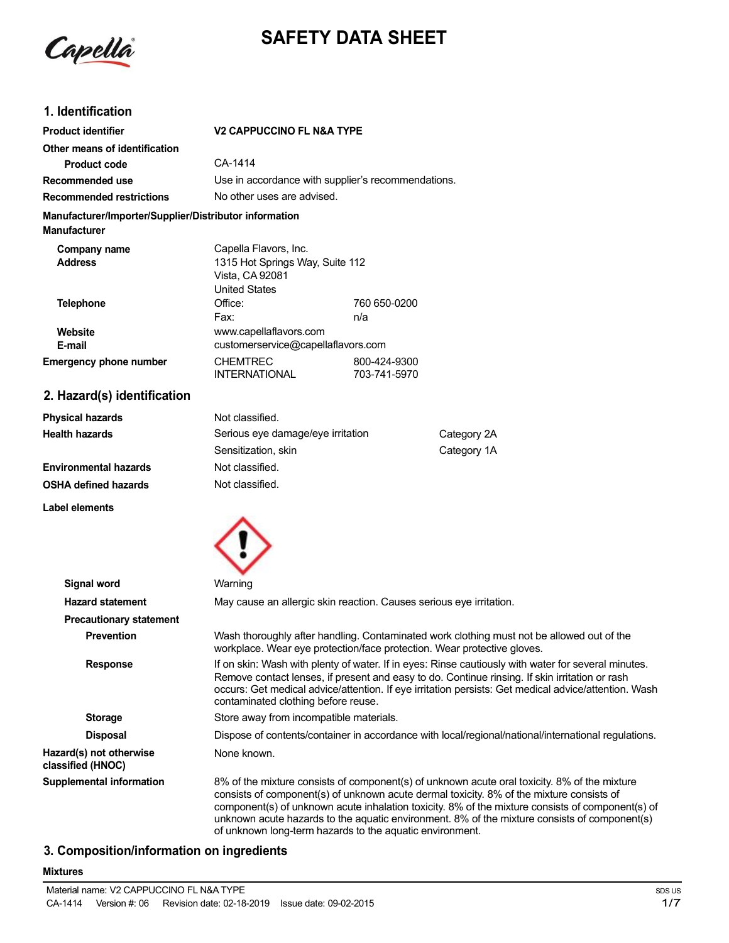

# **SAFETY DATA SHEET**

# **1. Identification**

| <b>Product identifier</b>                                                     | <b>V2 CAPPUCCINO FL N&amp;A TYPE</b>                                                                |                              |             |
|-------------------------------------------------------------------------------|-----------------------------------------------------------------------------------------------------|------------------------------|-------------|
| Other means of identification                                                 |                                                                                                     |                              |             |
| <b>Product code</b>                                                           | CA-1414                                                                                             |                              |             |
| Recommended use                                                               | Use in accordance with supplier's recommendations.                                                  |                              |             |
| <b>Recommended restrictions</b>                                               | No other uses are advised.                                                                          |                              |             |
| Manufacturer/Importer/Supplier/Distributor information<br><b>Manufacturer</b> |                                                                                                     |                              |             |
| Company name<br><b>Address</b>                                                | Capella Flavors, Inc.<br>1315 Hot Springs Way, Suite 112<br>Vista, CA 92081<br><b>United States</b> |                              |             |
| <b>Telephone</b>                                                              | Office:                                                                                             | 760 650-0200                 |             |
|                                                                               | Fax:                                                                                                | n/a                          |             |
| Website                                                                       | www.capellaflavors.com                                                                              |                              |             |
| E-mail                                                                        | customerservice@capellaflavors.com                                                                  |                              |             |
| <b>Emergency phone number</b>                                                 | <b>CHEMTREC</b><br><b>INTERNATIONAL</b>                                                             | 800-424-9300<br>703-741-5970 |             |
| 2. Hazard(s) identification                                                   |                                                                                                     |                              |             |
| <b>Physical hazards</b>                                                       | Not classified.                                                                                     |                              |             |
| <b>Health hazards</b>                                                         | Serious eye damage/eye irritation                                                                   |                              | Category 2A |
|                                                                               | Sensitization, skin                                                                                 |                              | Category 1A |
| <b>Environmental hazards</b>                                                  | Not classified.                                                                                     |                              |             |
| <b>OSHA defined hazards</b>                                                   | Not classified.                                                                                     |                              |             |
| <b>Label elements</b>                                                         |                                                                                                     |                              |             |
|                                                                               |                                                                                                     |                              |             |
|                                                                               |                                                                                                     |                              |             |

| Signal word                                  | Warning                                                                                                                                                                                                                                                                                                                                                                                                                                                  |
|----------------------------------------------|----------------------------------------------------------------------------------------------------------------------------------------------------------------------------------------------------------------------------------------------------------------------------------------------------------------------------------------------------------------------------------------------------------------------------------------------------------|
| <b>Hazard statement</b>                      | May cause an allergic skin reaction. Causes serious eye irritation.                                                                                                                                                                                                                                                                                                                                                                                      |
| <b>Precautionary statement</b>               |                                                                                                                                                                                                                                                                                                                                                                                                                                                          |
| <b>Prevention</b>                            | Wash thoroughly after handling. Contaminated work clothing must not be allowed out of the<br>workplace. Wear eye protection/face protection. Wear protective gloves.                                                                                                                                                                                                                                                                                     |
| <b>Response</b>                              | If on skin: Wash with plenty of water. If in eyes: Rinse cautiously with water for several minutes.<br>Remove contact lenses, if present and easy to do. Continue rinsing. If skin irritation or rash<br>occurs: Get medical advice/attention. If eye irritation persists: Get medical advice/attention. Wash<br>contaminated clothing before reuse.                                                                                                     |
| <b>Storage</b>                               | Store away from incompatible materials.                                                                                                                                                                                                                                                                                                                                                                                                                  |
| <b>Disposal</b>                              | Dispose of contents/container in accordance with local/regional/national/international regulations.                                                                                                                                                                                                                                                                                                                                                      |
| Hazard(s) not otherwise<br>classified (HNOC) | None known.                                                                                                                                                                                                                                                                                                                                                                                                                                              |
| <b>Supplemental information</b>              | 8% of the mixture consists of component(s) of unknown acute oral toxicity. 8% of the mixture<br>consists of component(s) of unknown acute dermal toxicity. 8% of the mixture consists of<br>component(s) of unknown acute inhalation toxicity. 8% of the mixture consists of component(s) of<br>unknown acute hazards to the aquatic environment. 8% of the mixture consists of component(s)<br>of unknown long-term hazards to the aquatic environment. |

## **3. Composition/information on ingredients**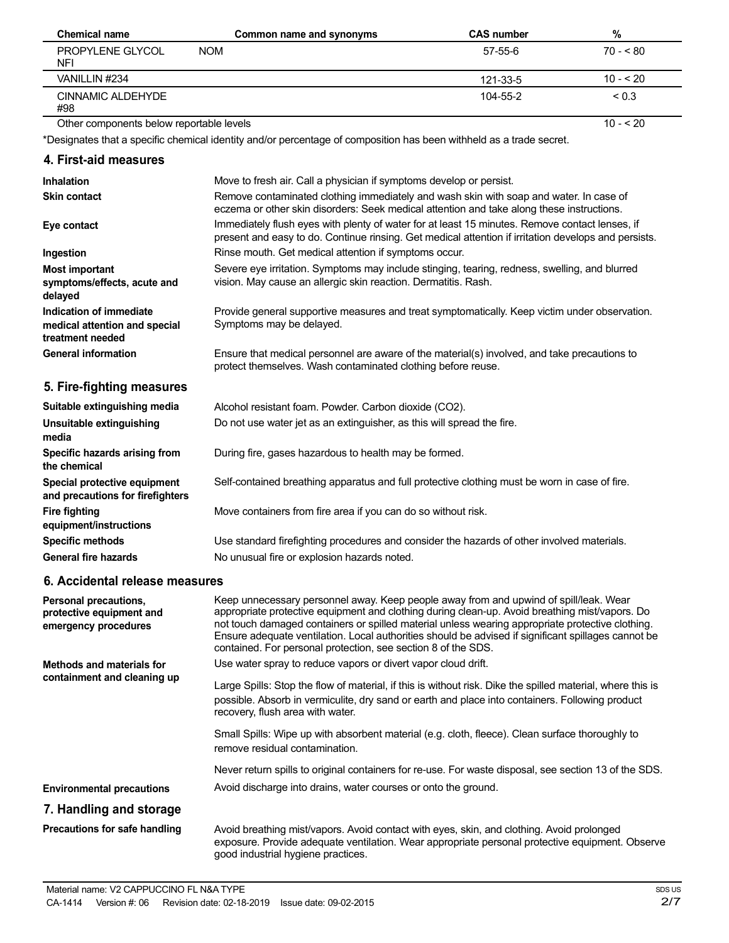| Chemical name                            | Common name and synonyms | <b>CAS number</b> | %          |
|------------------------------------------|--------------------------|-------------------|------------|
| PROPYLENE GLYCOL<br>NFI                  | <b>NOM</b>               | 57-55-6           | $70 - 80$  |
| VANILLIN #234                            |                          | 121-33-5          | $10 - 20$  |
| CINNAMIC ALDEHYDE<br>#98                 |                          | 104-55-2          | ${}_{0.3}$ |
| Other components below reportable levels |                          |                   | $10 - 520$ |

\*Designates that a specific chemical identity and/or percentage of composition has been withheld as a trade secret.

## **4. First-aid measures**

| <b>Inhalation</b>                                                            | Move to fresh air. Call a physician if symptoms develop or persist.                                                                                                                                    |
|------------------------------------------------------------------------------|--------------------------------------------------------------------------------------------------------------------------------------------------------------------------------------------------------|
| <b>Skin contact</b>                                                          | Remove contaminated clothing immediately and wash skin with soap and water. In case of<br>eczema or other skin disorders: Seek medical attention and take along these instructions.                    |
| Eye contact                                                                  | Immediately flush eyes with plenty of water for at least 15 minutes. Remove contact lenses, if<br>present and easy to do. Continue rinsing. Get medical attention if irritation develops and persists. |
| Ingestion                                                                    | Rinse mouth. Get medical attention if symptoms occur.                                                                                                                                                  |
| <b>Most important</b><br>symptoms/effects, acute and<br>delayed              | Severe eye irritation. Symptoms may include stinging, tearing, redness, swelling, and blurred<br>vision. May cause an allergic skin reaction. Dermatitis. Rash.                                        |
| Indication of immediate<br>medical attention and special<br>treatment needed | Provide general supportive measures and treat symptomatically. Keep victim under observation.<br>Symptoms may be delayed.                                                                              |
| <b>General information</b>                                                   | Ensure that medical personnel are aware of the material(s) involved, and take precautions to<br>protect themselves. Wash contaminated clothing before reuse.                                           |
| 5. Fire-fighting measures                                                    |                                                                                                                                                                                                        |
| Suitable extinguishing media                                                 | Alcohol resistant foam. Powder. Carbon dioxide (CO2).                                                                                                                                                  |
| Unsuitable extinguishing<br>media                                            | Do not use water jet as an extinguisher, as this will spread the fire.                                                                                                                                 |
| Specific hazards arising from<br>the chemical                                | During fire, gases hazardous to health may be formed.                                                                                                                                                  |
| Special protective equipment<br>and precautions for firefighters             | Self-contained breathing apparatus and full protective clothing must be worn in case of fire.                                                                                                          |
| <b>Fire fighting</b><br>equipment/instructions                               | Move containers from fire area if you can do so without risk.                                                                                                                                          |
| <b>Specific methods</b>                                                      | Use standard firefighting procedures and consider the hazards of other involved materials.                                                                                                             |
| <b>General fire hazards</b>                                                  | No unusual fire or explosion hazards noted.                                                                                                                                                            |
| 6. Accidental release measures                                               |                                                                                                                                                                                                        |
| Personal precautions,<br>protective equipment and                            | Keep unnecessary personnel away. Keep people away from and upwind of spill/leak. Wear<br>appropriate protective equipment and clothing during clean-up. Avoid breathing mist/vapors, Do                |

| protective equipment and<br>emergency procedures | appropriate protective equipment and clothing during clean-up. Avoid breathing mist/vapors. Do<br>not touch damaged containers or spilled material unless wearing appropriate protective clothing.<br>Ensure adequate ventilation. Local authorities should be advised if significant spillages cannot be<br>contained. For personal protection, see section 8 of the SDS. |  |
|--------------------------------------------------|----------------------------------------------------------------------------------------------------------------------------------------------------------------------------------------------------------------------------------------------------------------------------------------------------------------------------------------------------------------------------|--|
| Methods and materials for                        | Use water spray to reduce vapors or divert vapor cloud drift.                                                                                                                                                                                                                                                                                                              |  |
| containment and cleaning up                      | Large Spills: Stop the flow of material, if this is without risk. Dike the spilled material, where this is<br>possible. Absorb in vermiculite, dry sand or earth and place into containers. Following product<br>recovery, flush area with water.                                                                                                                          |  |
|                                                  | Small Spills: Wipe up with absorbent material (e.g. cloth, fleece). Clean surface thoroughly to<br>remove residual contamination.                                                                                                                                                                                                                                          |  |
|                                                  | Never return spills to original containers for re-use. For waste disposal, see section 13 of the SDS.                                                                                                                                                                                                                                                                      |  |
| <b>Environmental precautions</b>                 | Avoid discharge into drains, water courses or onto the ground.                                                                                                                                                                                                                                                                                                             |  |
| 7. Handling and storage                          |                                                                                                                                                                                                                                                                                                                                                                            |  |
| Precautions for safe handling                    | Avoid breathing mist/vapors. Avoid contact with eyes, skin, and clothing. Avoid prolonged<br>exposure. Provide adequate ventilation. Wear appropriate personal protective equipment. Observe<br>good industrial hygiene practices.                                                                                                                                         |  |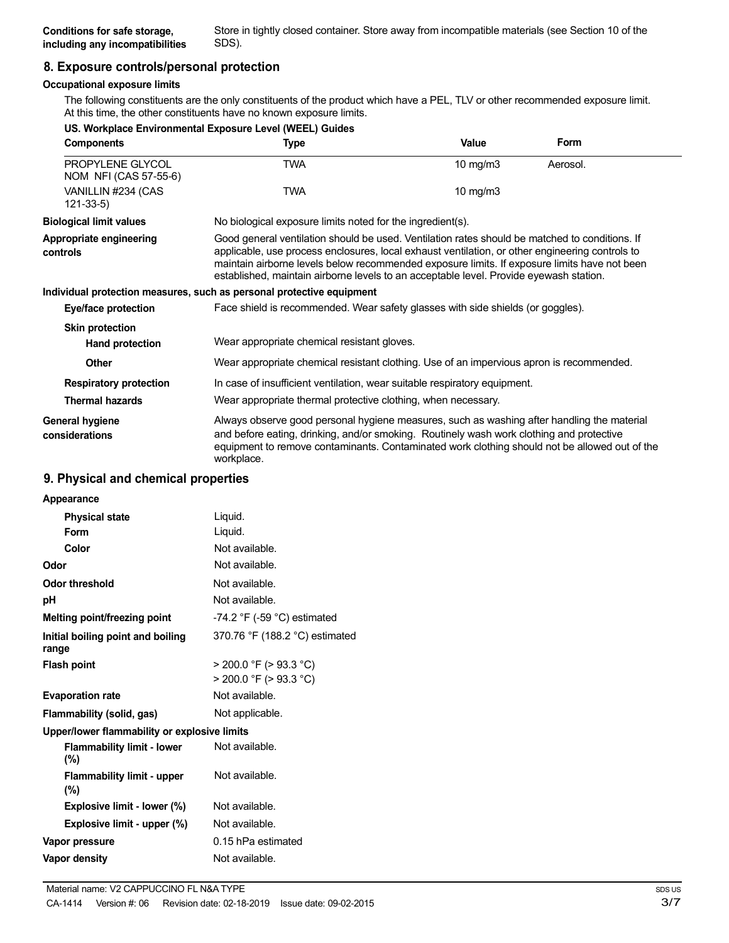Store in tightly closed container. Store away from incompatible materials (see Section 10 of the

## **8. Exposure controls/personal protection**

#### **Occupational exposure limits**

The following constituents are the only constituents of the product which have a PEL, TLV or other recommended exposure limit. At this time, the other constituents have no known exposure limits.

|                                           | US. Workplace Environmental Exposure Level (WEEL) Guides                                                                                                                                                                                                                                                                                                                                    |             |          |
|-------------------------------------------|---------------------------------------------------------------------------------------------------------------------------------------------------------------------------------------------------------------------------------------------------------------------------------------------------------------------------------------------------------------------------------------------|-------------|----------|
| <b>Components</b>                         | Type                                                                                                                                                                                                                                                                                                                                                                                        | Value       | Form     |
| PROPYLENE GLYCOL<br>NOM NFI (CAS 57-55-6) | <b>TWA</b>                                                                                                                                                                                                                                                                                                                                                                                  | 10 mg/m $3$ | Aerosol. |
| VANILLIN #234 (CAS<br>$121 - 33 - 5$      | <b>TWA</b>                                                                                                                                                                                                                                                                                                                                                                                  | 10 mg/m $3$ |          |
| <b>Biological limit values</b>            | No biological exposure limits noted for the ingredient(s).                                                                                                                                                                                                                                                                                                                                  |             |          |
| Appropriate engineering<br>controls       | Good general ventilation should be used. Ventilation rates should be matched to conditions. If<br>applicable, use process enclosures, local exhaust ventilation, or other engineering controls to<br>maintain airborne levels below recommended exposure limits. If exposure limits have not been<br>established, maintain airborne levels to an acceptable level. Provide eyewash station. |             |          |
|                                           | Individual protection measures, such as personal protective equipment                                                                                                                                                                                                                                                                                                                       |             |          |
| <b>Eye/face protection</b>                | Face shield is recommended. Wear safety glasses with side shields (or goggles).                                                                                                                                                                                                                                                                                                             |             |          |
| <b>Skin protection</b>                    |                                                                                                                                                                                                                                                                                                                                                                                             |             |          |
| Hand protection                           | Wear appropriate chemical resistant gloves.                                                                                                                                                                                                                                                                                                                                                 |             |          |
| <b>Other</b>                              | Wear appropriate chemical resistant clothing. Use of an impervious apron is recommended.                                                                                                                                                                                                                                                                                                    |             |          |
| <b>Respiratory protection</b>             | In case of insufficient ventilation, wear suitable respiratory equipment.                                                                                                                                                                                                                                                                                                                   |             |          |
| <b>Thermal hazards</b>                    | Wear appropriate thermal protective clothing, when necessary.                                                                                                                                                                                                                                                                                                                               |             |          |
| General hygiene<br>considerations         | Always observe good personal hygiene measures, such as washing after handling the material<br>and before eating, drinking, and/or smoking. Routinely wash work clothing and protective<br>equipment to remove contaminants. Contaminated work clothing should not be allowed out of the<br>workplace.                                                                                       |             |          |

#### **9. Physical and chemical properties**

| Appearance                                   |                                                            |
|----------------------------------------------|------------------------------------------------------------|
| <b>Physical state</b>                        | Liquid.                                                    |
| Form                                         | Liquid.                                                    |
| Color                                        | Not available.                                             |
| Odor                                         | Not available.                                             |
| <b>Odor threshold</b>                        | Not available.                                             |
| рH                                           | Not available.                                             |
| Melting point/freezing point                 | -74.2 $\degree$ F (-59 $\degree$ C) estimated              |
| Initial boiling point and boiling<br>range   | 370.76 °F (188.2 °C) estimated                             |
| <b>Flash point</b>                           | $>$ 200.0 °F ( $>$ 93.3 °C)<br>$>$ 200.0 °F ( $>$ 93.3 °C) |
| <b>Evaporation rate</b>                      | Not available.                                             |
| Flammability (solid, gas)                    | Not applicable.                                            |
| Upper/lower flammability or explosive limits |                                                            |
| <b>Flammability limit - lower</b><br>$(\% )$ | Not available.                                             |
| <b>Flammability limit - upper</b><br>(%)     | Not available.                                             |
| Explosive limit - lower (%)                  | Not available.                                             |
| Explosive limit - upper (%)                  | Not available.                                             |
| Vapor pressure                               | 0.15 hPa estimated                                         |
| Vapor density                                | Not available.                                             |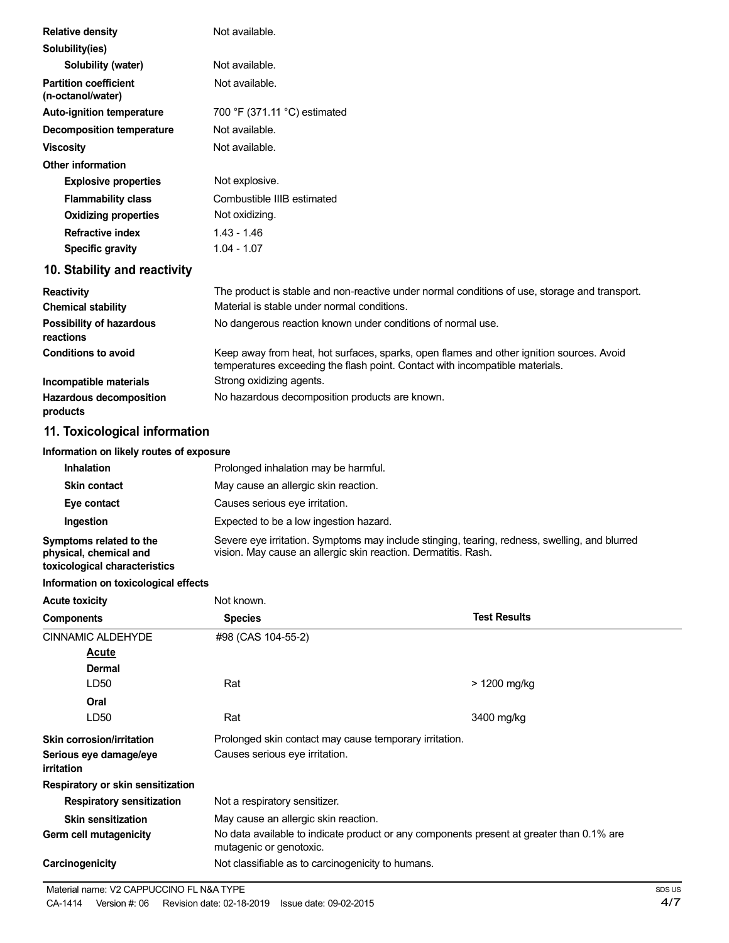| <b>Relative density</b>                           | Not available.                                                                                                                                                           |
|---------------------------------------------------|--------------------------------------------------------------------------------------------------------------------------------------------------------------------------|
| Solubility(ies)                                   |                                                                                                                                                                          |
| Solubility (water)                                | Not available.                                                                                                                                                           |
| <b>Partition coefficient</b><br>(n-octanol/water) | Not available.                                                                                                                                                           |
| <b>Auto-ignition temperature</b>                  | 700 °F (371.11 °C) estimated                                                                                                                                             |
| <b>Decomposition temperature</b>                  | Not available.                                                                                                                                                           |
| <b>Viscosity</b>                                  | Not available.                                                                                                                                                           |
| <b>Other information</b>                          |                                                                                                                                                                          |
| <b>Explosive properties</b>                       | Not explosive.                                                                                                                                                           |
| <b>Flammability class</b>                         | Combustible IIIB estimated                                                                                                                                               |
| <b>Oxidizing properties</b>                       | Not oxidizing.                                                                                                                                                           |
| <b>Refractive index</b>                           | $1.43 - 1.46$                                                                                                                                                            |
| <b>Specific gravity</b>                           | $1.04 - 1.07$                                                                                                                                                            |
| 10. Stability and reactivity                      |                                                                                                                                                                          |
| <b>Reactivity</b>                                 | The product is stable and non-reactive under normal conditions of use, storage and transport.                                                                            |
| <b>Chemical stability</b>                         | Material is stable under normal conditions.                                                                                                                              |
| Possibility of hazardous<br>reactions             | No dangerous reaction known under conditions of normal use.                                                                                                              |
| <b>Conditions to avoid</b>                        | Keep away from heat, hot surfaces, sparks, open flames and other ignition sources. Avoid<br>temperatures exceeding the flash point. Contact with incompatible materials. |
| Incompatible materials                            | Strong oxidizing agents.                                                                                                                                                 |

**products**

# **11. Toxicological information**

**Hazardous decomposition**

#### **Information on likely routes of exposure**

| <b>Inhalation</b>                                                                  | Prolonged inhalation may be harmful.                                                                                                                            |
|------------------------------------------------------------------------------------|-----------------------------------------------------------------------------------------------------------------------------------------------------------------|
| <b>Skin contact</b>                                                                | May cause an allergic skin reaction.                                                                                                                            |
| Eye contact                                                                        | Causes serious eye irritation.                                                                                                                                  |
| Ingestion                                                                          | Expected to be a low ingestion hazard.                                                                                                                          |
| Symptoms related to the<br>physical, chemical and<br>toxicological characteristics | Severe eye irritation. Symptoms may include stinging, tearing, redness, swelling, and blurred<br>vision. May cause an allergic skin reaction. Dermatitis. Rash. |

No hazardous decomposition products are known.

#### **Information on toxicological effects**

| <b>Acute toxicity</b>                       | Not known.                                                                                                          |                     |  |
|---------------------------------------------|---------------------------------------------------------------------------------------------------------------------|---------------------|--|
| <b>Components</b>                           | <b>Species</b>                                                                                                      | <b>Test Results</b> |  |
| <b>CINNAMIC ALDEHYDE</b>                    | #98 (CAS 104-55-2)                                                                                                  |                     |  |
| Acute                                       |                                                                                                                     |                     |  |
| <b>Dermal</b>                               |                                                                                                                     |                     |  |
| LD50                                        | Rat                                                                                                                 | > 1200 mg/kg        |  |
| Oral                                        |                                                                                                                     |                     |  |
| LD50                                        | Rat                                                                                                                 | 3400 mg/kg          |  |
| Skin corrosion/irritation                   | Prolonged skin contact may cause temporary irritation.                                                              |                     |  |
| Serious eye damage/eye<br><i>irritation</i> | Causes serious eye irritation.                                                                                      |                     |  |
| Respiratory or skin sensitization           |                                                                                                                     |                     |  |
| <b>Respiratory sensitization</b>            | Not a respiratory sensitizer.                                                                                       |                     |  |
| <b>Skin sensitization</b>                   | May cause an allergic skin reaction.                                                                                |                     |  |
| Germ cell mutagenicity                      | No data available to indicate product or any components present at greater than 0.1% are<br>mutagenic or genotoxic. |                     |  |
| Carcinogenicity                             | Not classifiable as to carcinogenicity to humans.                                                                   |                     |  |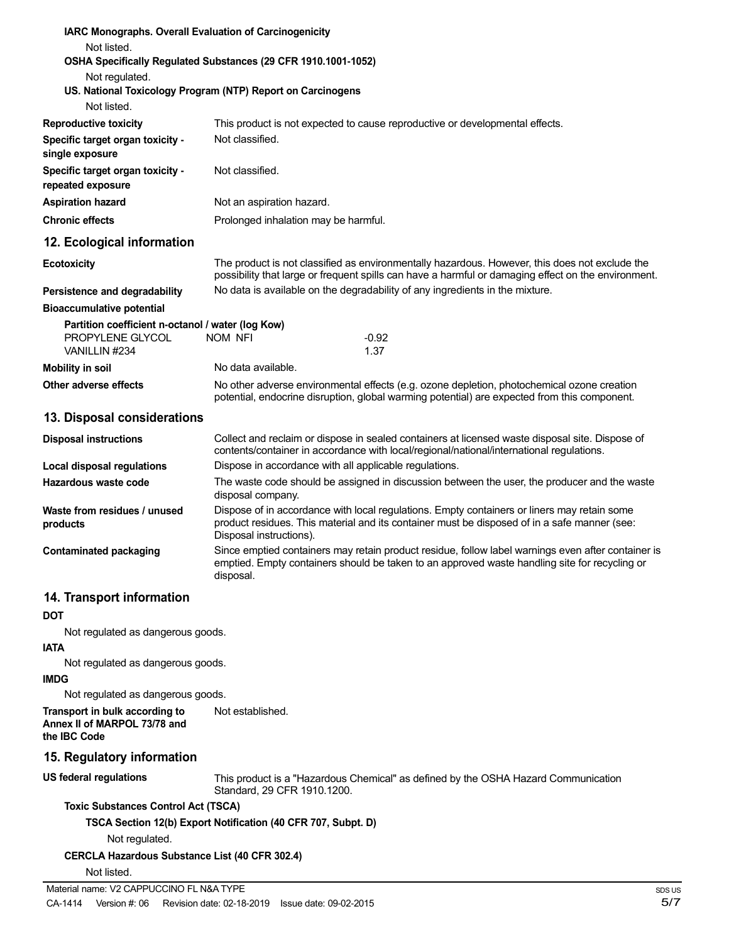| IARC Monographs. Overall Evaluation of Carcinogenicity<br>Not listed.                        |                                      |                                                                                                                                                                                                       |
|----------------------------------------------------------------------------------------------|--------------------------------------|-------------------------------------------------------------------------------------------------------------------------------------------------------------------------------------------------------|
| OSHA Specifically Regulated Substances (29 CFR 1910.1001-1052)                               |                                      |                                                                                                                                                                                                       |
| Not regulated.<br>US. National Toxicology Program (NTP) Report on Carcinogens<br>Not listed. |                                      |                                                                                                                                                                                                       |
|                                                                                              |                                      | This product is not expected to cause reproductive or developmental effects.                                                                                                                          |
| <b>Reproductive toxicity</b><br>Specific target organ toxicity -                             | Not classified.                      |                                                                                                                                                                                                       |
| single exposure                                                                              |                                      |                                                                                                                                                                                                       |
| Specific target organ toxicity -<br>repeated exposure                                        | Not classified.                      |                                                                                                                                                                                                       |
| <b>Aspiration hazard</b>                                                                     | Not an aspiration hazard.            |                                                                                                                                                                                                       |
| <b>Chronic effects</b>                                                                       | Prolonged inhalation may be harmful. |                                                                                                                                                                                                       |
| 12. Ecological information                                                                   |                                      |                                                                                                                                                                                                       |
| <b>Ecotoxicity</b>                                                                           |                                      | The product is not classified as environmentally hazardous. However, this does not exclude the<br>possibility that large or frequent spills can have a harmful or damaging effect on the environment. |
| Persistence and degradability                                                                |                                      | No data is available on the degradability of any ingredients in the mixture.                                                                                                                          |
| <b>Bioaccumulative potential</b>                                                             |                                      |                                                                                                                                                                                                       |
| Partition coefficient n-octanol / water (log Kow)                                            |                                      |                                                                                                                                                                                                       |
| PROPYLENE GLYCOL<br>VANILLIN #234                                                            | <b>NOM NFI</b>                       | $-0.92$<br>1.37                                                                                                                                                                                       |
| <b>Mobility in soil</b>                                                                      | No data available.                   |                                                                                                                                                                                                       |
| Other adverse effects                                                                        |                                      | No other adverse environmental effects (e.g. ozone depletion, photochemical ozone creation<br>potential, endocrine disruption, global warming potential) are expected from this component.            |
| 13. Disposal considerations                                                                  |                                      |                                                                                                                                                                                                       |
| <b>Disposal instructions</b>                                                                 |                                      | Collect and reclaim or dispose in sealed containers at licensed waste disposal site. Dispose of<br>contents/container in accordance with local/regional/national/international regulations.           |
| <b>Local disposal regulations</b>                                                            |                                      | Dispose in accordance with all applicable regulations.                                                                                                                                                |
| Hazardous waste code                                                                         | disposal company.                    | The waste code should be assigned in discussion between the user, the producer and the waste                                                                                                          |
| Waste from residues / unused<br>products                                                     | Disposal instructions).              | Dispose of in accordance with local regulations. Empty containers or liners may retain some<br>product residues. This material and its container must be disposed of in a safe manner (see:           |
| <b>Contaminated packaging</b>                                                                | disposal.                            | Since emptied containers may retain product residue, follow label warnings even after container is<br>emptied. Empty containers should be taken to an approved waste handling site for recycling or   |
| 14. Transport information                                                                    |                                      |                                                                                                                                                                                                       |
| DOT                                                                                          |                                      |                                                                                                                                                                                                       |
| Not regulated as dangerous goods.                                                            |                                      |                                                                                                                                                                                                       |
| <b>IATA</b>                                                                                  |                                      |                                                                                                                                                                                                       |
| Not regulated as dangerous goods.<br><b>IMDG</b>                                             |                                      |                                                                                                                                                                                                       |
| Not regulated as dangerous goods.                                                            |                                      |                                                                                                                                                                                                       |
| Transport in bulk according to<br>Annex II of MARPOL 73/78 and<br>the IBC Code               | Not established.                     |                                                                                                                                                                                                       |
| 15. Regulatory information                                                                   |                                      |                                                                                                                                                                                                       |
| <b>US federal regulations</b>                                                                | Standard, 29 CFR 1910.1200.          | This product is a "Hazardous Chemical" as defined by the OSHA Hazard Communication                                                                                                                    |
| <b>Toxic Substances Control Act (TSCA)</b>                                                   |                                      |                                                                                                                                                                                                       |
| TSCA Section 12(b) Export Notification (40 CFR 707, Subpt. D)                                |                                      |                                                                                                                                                                                                       |
| Not regulated.                                                                               |                                      |                                                                                                                                                                                                       |
| <b>CERCLA Hazardous Substance List (40 CFR 302.4)</b>                                        |                                      |                                                                                                                                                                                                       |
| Not listed.                                                                                  |                                      |                                                                                                                                                                                                       |
| Material name: V2 CAPPUCCINO FL N&A TYPE                                                     |                                      | S                                                                                                                                                                                                     |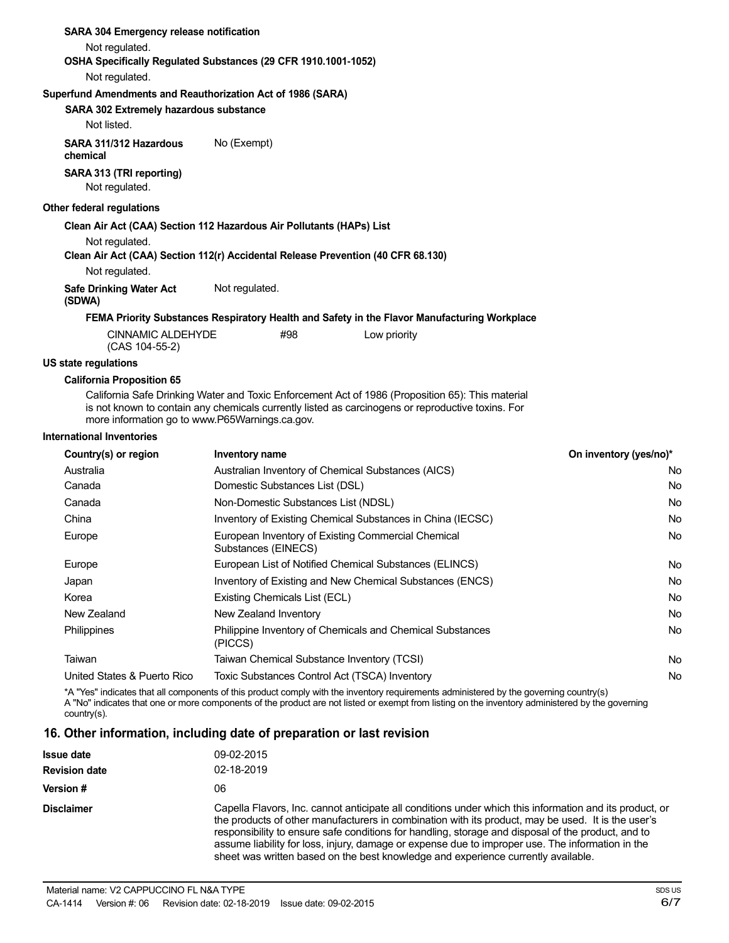| <b>SARA 304 Emergency release notification</b>                                   |                |                                |                                                                                                                                                                                                       |                        |
|----------------------------------------------------------------------------------|----------------|--------------------------------|-------------------------------------------------------------------------------------------------------------------------------------------------------------------------------------------------------|------------------------|
| Not regulated.                                                                   |                |                                |                                                                                                                                                                                                       |                        |
| OSHA Specifically Regulated Substances (29 CFR 1910.1001-1052)                   |                |                                |                                                                                                                                                                                                       |                        |
| Not regulated.                                                                   |                |                                |                                                                                                                                                                                                       |                        |
| Superfund Amendments and Reauthorization Act of 1986 (SARA)                      |                |                                |                                                                                                                                                                                                       |                        |
| SARA 302 Extremely hazardous substance                                           |                |                                |                                                                                                                                                                                                       |                        |
| Not listed.                                                                      |                |                                |                                                                                                                                                                                                       |                        |
| SARA 311/312 Hazardous<br>chemical                                               | No (Exempt)    |                                |                                                                                                                                                                                                       |                        |
| SARA 313 (TRI reporting)<br>Not regulated.                                       |                |                                |                                                                                                                                                                                                       |                        |
| Other federal regulations                                                        |                |                                |                                                                                                                                                                                                       |                        |
| Clean Air Act (CAA) Section 112 Hazardous Air Pollutants (HAPs) List             |                |                                |                                                                                                                                                                                                       |                        |
| Not regulated.                                                                   |                |                                |                                                                                                                                                                                                       |                        |
| Clean Air Act (CAA) Section 112(r) Accidental Release Prevention (40 CFR 68.130) |                |                                |                                                                                                                                                                                                       |                        |
| Not regulated.                                                                   |                |                                |                                                                                                                                                                                                       |                        |
| <b>Safe Drinking Water Act</b><br>(SDWA)                                         | Not regulated. |                                |                                                                                                                                                                                                       |                        |
|                                                                                  |                |                                | FEMA Priority Substances Respiratory Health and Safety in the Flavor Manufacturing Workplace                                                                                                          |                        |
| <b>CINNAMIC ALDEHYDE</b><br>(CAS 104-55-2)                                       |                | #98                            | Low priority                                                                                                                                                                                          |                        |
| <b>US state regulations</b>                                                      |                |                                |                                                                                                                                                                                                       |                        |
| <b>California Proposition 65</b>                                                 |                |                                |                                                                                                                                                                                                       |                        |
| more information go to www.P65Warnings.ca.gov.                                   |                |                                | California Safe Drinking Water and Toxic Enforcement Act of 1986 (Proposition 65): This material<br>is not known to contain any chemicals currently listed as carcinogens or reproductive toxins. For |                        |
| <b>International Inventories</b>                                                 |                |                                |                                                                                                                                                                                                       |                        |
| Country(s) or region                                                             | Inventory name |                                |                                                                                                                                                                                                       | On inventory (yes/no)* |
| Australia                                                                        |                |                                | Australian Inventory of Chemical Substances (AICS)                                                                                                                                                    | No                     |
| Canada                                                                           |                | Domestic Substances List (DSL) |                                                                                                                                                                                                       | No                     |
|                                                                                  |                |                                |                                                                                                                                                                                                       |                        |

| Canaua                      | DOMESTIC OUDSIGNCES LIST (DOL)                                            | <b>IVU</b> |
|-----------------------------|---------------------------------------------------------------------------|------------|
| Canada                      | Non-Domestic Substances List (NDSL)                                       | <b>No</b>  |
| China                       | Inventory of Existing Chemical Substances in China (IECSC)                | <b>No</b>  |
| Europe                      | European Inventory of Existing Commercial Chemical<br>Substances (EINECS) | No         |
| Europe                      | European List of Notified Chemical Substances (ELINCS)                    | <b>No</b>  |
| Japan                       | Inventory of Existing and New Chemical Substances (ENCS)                  | <b>No</b>  |
| Korea                       | Existing Chemicals List (ECL)                                             | No         |
| New Zealand                 | New Zealand Inventory                                                     | No         |
| <b>Philippines</b>          | Philippine Inventory of Chemicals and Chemical Substances<br>(PICCS)      | <b>No</b>  |
| Taiwan                      | Taiwan Chemical Substance Inventory (TCSI)                                | No         |
| United States & Puerto Rico | Toxic Substances Control Act (TSCA) Inventory                             | No         |
|                             |                                                                           |            |

\*A "Yes" indicates that all components of this product comply with the inventory requirements administered by the governing country(s) A "No" indicates that one or more components of the product are not listed or exempt from listing on the inventory administered by the governing country(s).

## **16. Other information, including date of preparation or last revision**

| <b>Issue date</b>    | 09-02-2015                                                                                                                                                                                                                                                                                                                                                                                                                                                                                                   |  |
|----------------------|--------------------------------------------------------------------------------------------------------------------------------------------------------------------------------------------------------------------------------------------------------------------------------------------------------------------------------------------------------------------------------------------------------------------------------------------------------------------------------------------------------------|--|
| <b>Revision date</b> | 02-18-2019                                                                                                                                                                                                                                                                                                                                                                                                                                                                                                   |  |
| Version #            | 06                                                                                                                                                                                                                                                                                                                                                                                                                                                                                                           |  |
| <b>Disclaimer</b>    | Capella Flavors, Inc. cannot anticipate all conditions under which this information and its product, or<br>the products of other manufacturers in combination with its product, may be used. It is the user's<br>responsibility to ensure safe conditions for handling, storage and disposal of the product, and to<br>assume liability for loss, injury, damage or expense due to improper use. The information in the<br>sheet was written based on the best knowledge and experience currently available. |  |